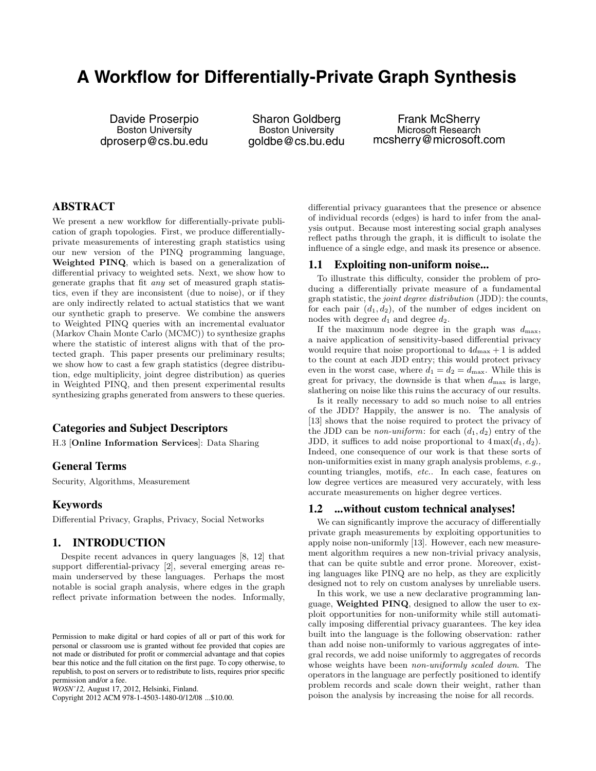# **A Workflow for Differentially-Private Graph Synthesis**

Davide Proserpio Boston University dproserp@cs.bu.edu

Sharon Goldberg Boston University goldbe@cs.bu.edu

Frank McSherry Microsoft Research mcsherry@microsoft.com

# **ABSTRACT**

We present a new workflow for differentially-private publication of graph topologies. First, we produce differentiallyprivate measurements of interesting graph statistics using our new version of the PINQ programming language, **Weighted PINQ**, which is based on a generalization of differential privacy to weighted sets. Next, we show how to generate graphs that fit *any* set of measured graph statistics, even if they are inconsistent (due to noise), or if they are only indirectly related to actual statistics that we want our synthetic graph to preserve. We combine the answers to Weighted PINQ queries with an incremental evaluator (Markov Chain Monte Carlo (MCMC)) to synthesize graphs where the statistic of interest aligns with that of the protected graph. This paper presents our preliminary results; we show how to cast a few graph statistics (degree distribution, edge multiplicity, joint degree distribution) as queries in Weighted PINQ, and then present experimental results synthesizing graphs generated from answers to these queries.

# **Categories and Subject Descriptors**

H.3 [**Online Information Services**]: Data Sharing

# **General Terms**

Security, Algorithms, Measurement

## **Keywords**

Differential Privacy, Graphs, Privacy, Social Networks

## **1. INTRODUCTION**

Despite recent advances in query languages [8, 12] that support differential-privacy [2], several emerging areas remain underserved by these languages. Perhaps the most notable is social graph analysis, where edges in the graph reflect private information between the nodes. Informally,

Copyright 2012 ACM 978-1-4503-1480-0/12/08 ...\$10.00.

differential privacy guarantees that the presence or absence of individual records (edges) is hard to infer from the analysis output. Because most interesting social graph analyses reflect paths through the graph, it is difficult to isolate the influence of a single edge, and mask its presence or absence.

#### **1.1 Exploiting non-uniform noise...**

To illustrate this difficulty, consider the problem of producing a differentially private measure of a fundamental graph statistic, the *joint degree distribution* (JDD): the counts, for each pair  $(d_1, d_2)$ , of the number of edges incident on nodes with degree  $d_1$  and degree  $d_2$ .

If the maximum node degree in the graph was  $d_{\text{max}}$ , a naive application of sensitivity-based differential privacy would require that noise proportional to  $4d_{\text{max}} + 1$  is added to the count at each JDD entry; this would protect privacy even in the worst case, where  $d_1 = d_2 = d_{\text{max}}$ . While this is great for privacy, the downside is that when  $d_{\text{max}}$  is large, slathering on noise like this ruins the accuracy of our results.

Is it really necessary to add so much noise to all entries of the JDD? Happily, the answer is no. The analysis of [13] shows that the noise required to protect the privacy of the JDD can be *non-uniform*: for each  $(d_1, d_2)$  entry of the JDD, it suffices to add noise proportional to  $4 \max(d_1, d_2)$ . Indeed, one consequence of our work is that these sorts of non-uniformities exist in many graph analysis problems, *e.g.,* counting triangles, motifs, *etc.*. In each case, features on low degree vertices are measured very accurately, with less accurate measurements on higher degree vertices.

# **1.2 ...without custom technical analyses!**

We can significantly improve the accuracy of differentially private graph measurements by exploiting opportunities to apply noise non-uniformly [13]. However, each new measurement algorithm requires a new non-trivial privacy analysis, that can be quite subtle and error prone. Moreover, existing languages like PINQ are no help, as they are explicitly designed not to rely on custom analyses by unreliable users.

In this work, we use a new declarative programming language, **Weighted PINQ**, designed to allow the user to exploit opportunities for non-uniformity while still automatically imposing differential privacy guarantees. The key idea built into the language is the following observation: rather than add noise non-uniformly to various aggregates of integral records, we add noise uniformly to aggregates of records whose weights have been *non-uniformly scaled down*. The operators in the language are perfectly positioned to identify problem records and scale down their weight, rather than poison the analysis by increasing the noise for all records.

Permission to make digital or hard copies of all or part of this work for personal or classroom use is granted without fee provided that copies are not made or distributed for profit or commercial advantage and that copies bear this notice and the full citation on the first page. To copy otherwise, to republish, to post on servers or to redistribute to lists, requires prior specific permission and/or a fee.

*WOSN'12,* August 17, 2012, Helsinki, Finland.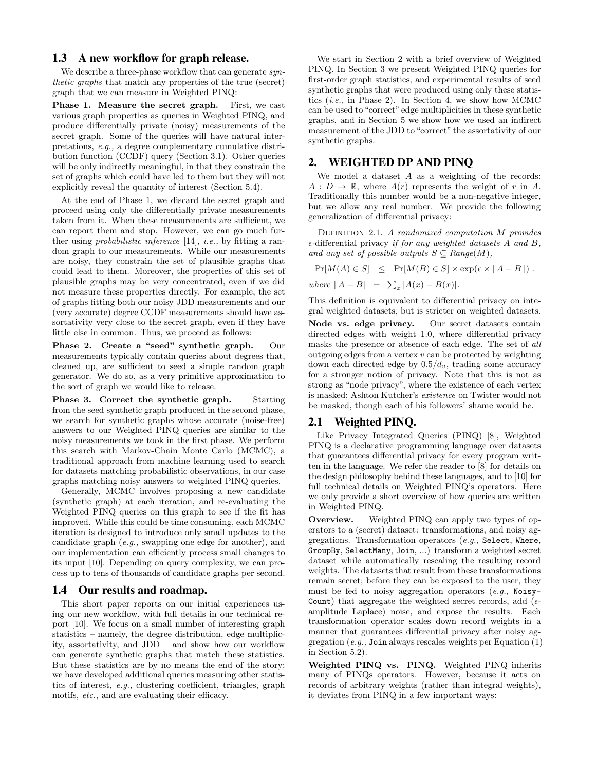# **1.3 A new workflow for graph release.**

We describe a three-phase workflow that can generate *synthetic graphs* that match any properties of the true (secret) graph that we can measure in Weighted PINQ:

**Phase 1. Measure the secret graph.** First, we cast various graph properties as queries in Weighted PINQ, and produce differentially private (noisy) measurements of the secret graph. Some of the queries will have natural interpretations, *e.g.,* a degree complementary cumulative distribution function (CCDF) query (Section 3.1). Other queries will be only indirectly meaningful, in that they constrain the set of graphs which could have led to them but they will not explicitly reveal the quantity of interest (Section 5.4).

At the end of Phase 1, we discard the secret graph and proceed using only the differentially private measurements taken from it. When these measurements are sufficient, we can report them and stop. However, we can go much further using *probabilistic inference* [14], *i.e.,* by fitting a random graph to our measurements. While our measurements are noisy, they constrain the set of plausible graphs that could lead to them. Moreover, the properties of this set of plausible graphs may be very concentrated, even if we did not measure these properties directly. For example, the set of graphs fitting both our noisy JDD measurements and our (very accurate) degree CCDF measurements should have assortativity very close to the secret graph, even if they have little else in common. Thus, we proceed as follows:

**Phase 2. Create a "seed" synthetic graph.** Our measurements typically contain queries about degrees that, cleaned up, are sufficient to seed a simple random graph generator. We do so, as a very primitive approximation to the sort of graph we would like to release.

Phase 3. Correct the synthetic graph. Starting from the seed synthetic graph produced in the second phase, we search for synthetic graphs whose accurate (noise-free) answers to our Weighted PINQ queries are similar to the noisy measurements we took in the first phase. We perform this search with Markov-Chain Monte Carlo (MCMC), a traditional approach from machine learning used to search for datasets matching probabilistic observations, in our case graphs matching noisy answers to weighted PINQ queries.

Generally, MCMC involves proposing a new candidate (synthetic graph) at each iteration, and re-evaluating the Weighted PINQ queries on this graph to see if the fit has improved. While this could be time consuming, each MCMC iteration is designed to introduce only small updates to the candidate graph (*e.g.,* swapping one edge for another), and our implementation can efficiently process small changes to its input [10]. Depending on query complexity, we can process up to tens of thousands of candidate graphs per second.

#### **1.4 Our results and roadmap.**

This short paper reports on our initial experiences using our new workflow, with full details in our technical report [10]. We focus on a small number of interesting graph statistics – namely, the degree distribution, edge multiplicity, assortativity, and JDD – and show how our workflow can generate synthetic graphs that match these statistics. But these statistics are by no means the end of the story; we have developed additional queries measuring other statistics of interest, *e.g.,* clustering coefficient, triangles, graph motifs, *etc.*, and are evaluating their efficacy.

We start in Section 2 with a brief overview of Weighted PINQ. In Section 3 we present Weighted PINQ queries for first-order graph statistics, and experimental results of seed synthetic graphs that were produced using only these statistics (*i.e.,* in Phase 2). In Section 4, we show how MCMC can be used to "correct" edge multiplicities in these synthetic graphs, and in Section 5 we show how we used an indirect measurement of the JDD to "correct" the assortativity of our synthetic graphs.

# **2. WEIGHTED DP AND PINQ**

We model a dataset  $A$  as a weighting of the records:  $A: D \to \mathbb{R}$ , where  $A(r)$  represents the weight of r in A. Traditionally this number would be a non-negative integer, but we allow any real number. We provide the following generalization of differential privacy:

Definition 2.1. *A randomized computation* M *provides* -*-*differential privacy *if for any weighted datasets* A *and* B*, and any set of possible outputs*  $S \subseteq Range(M)$ ,

 $Pr[M(A) \in S] \le Pr[M(B) \in S] \times exp(\epsilon \times ||A - B||)$ .

 $where \ \|A - B\| = \sum_{x} |A(x) - B(x)|$ .

This definition is equivalent to differential privacy on integral weighted datasets, but is stricter on weighted datasets. **Node vs. edge privacy.** Our secret datasets contain directed edges with weight 1.0, where differential privacy masks the presence or absence of each edge. The set of *all* outgoing edges from a vertex  $v$  can be protected by weighting down each directed edge by  $0.5/d_v$ , trading some accuracy for a stronger notion of privacy. Note that this is not as strong as "node privacy", where the existence of each vertex is masked; Ashton Kutcher's *existence* on Twitter would not be masked, though each of his followers' shame would be.

# **2.1 Weighted PINQ.**

Like Privacy Integrated Queries (PINQ) [8], Weighted PINQ is a declarative programming language over datasets that guarantees differential privacy for every program written in the language. We refer the reader to [8] for details on the design philosophy behind these languages, and to [10] for full technical details on Weighted PINQ's operators. Here we only provide a short overview of how queries are written in Weighted PINQ.

**Overview.** Weighted PINQ can apply two types of operators to a (secret) dataset: transformations, and noisy aggregations. Transformation operators (*e.g.,* Select, Where, GroupBy, SelectMany, Join, ...) transform a weighted secret dataset while automatically rescaling the resulting record weights. The datasets that result from these transformations remain secret; before they can be exposed to the user, they must be fed to noisy aggregation operators (*e.g.,* Noisy-Count) that aggregate the weighted secret records, add  $(\epsilon$ amplitude Laplace) noise, and expose the results. Each transformation operator scales down record weights in a manner that guarantees differential privacy after noisy aggregation (*e.g.,* Join always rescales weights per Equation (1) in Section 5.2).

**Weighted PINQ vs. PINQ.** Weighted PINQ inherits many of PINQs operators. However, because it acts on records of arbitrary weights (rather than integral weights), it deviates from PINQ in a few important ways: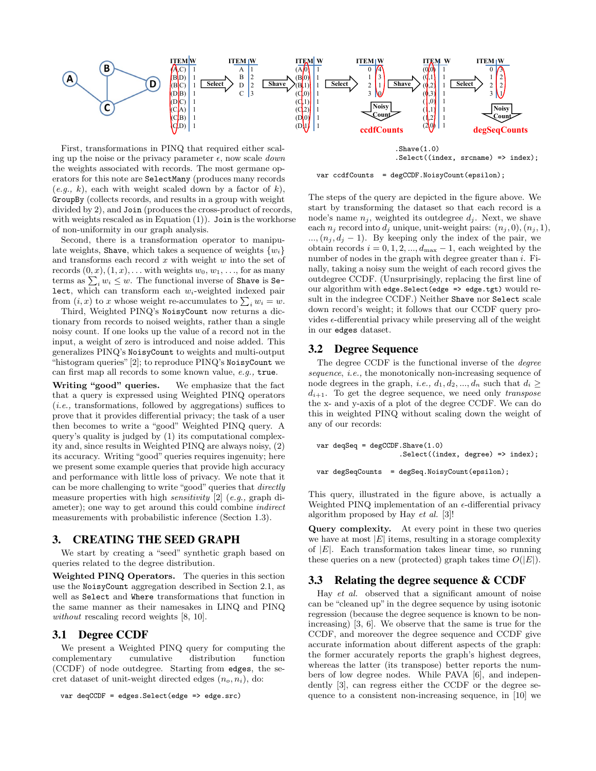

First, transformations in PINQ that required either scaling up the noise or the privacy parameter  $\epsilon$ , now scale *down* the weights associated with records. The most germane operators for this note are SelectMany (produces many records  $(e.g., k)$ , each with weight scaled down by a factor of k), GroupBy (collects records, and results in a group with weight divided by 2), and Join (produces the cross-product of records, with weights rescaled as in Equation  $(1)$ ). Join is the workhorse of non-uniformity in our graph analysis.

Second, there is a transformation operator to manipulate weights, **Shave**, which takes a sequence of weights  $\{w_i\}$ and transforms each record  $x$  with weight  $w$  into the set of records  $(0, x), (1, x), \ldots$  with weights  $w_0, w_1, \ldots$ , for as many terms as  $\sum_i w_i \leq w$ . The functional inverse of **Shave** is **Se**lect, which can transform each w*i*-weighted indexed pair from  $(i, x)$  to x whose weight re-accumulates to  $\sum_i w_i = w$ .

Third, Weighted PINQ's NoisyCount now returns a dictionary from records to noised weights, rather than a single noisy count. If one looks up the value of a record not in the input, a weight of zero is introduced and noise added. This generalizes PINQ's NoisyCount to weights and multi-output "histogram queries" [2]; to reproduce  $\text{PINQ}$ 's NoisyCount we can first map all records to some known value, *e.g.,* true.

**Writing "good" queries.** We emphasize that the fact that a query is expressed using Weighted PINQ operators (*i.e.,* transformations, followed by aggregations) suffices to prove that it provides differential privacy; the task of a user then becomes to write a "good" Weighted PINQ query. A query's quality is judged by (1) its computational complexity and, since results in Weighted PINQ are always noisy, (2) its accuracy. Writing "good" queries requires ingenuity; here we present some example queries that provide high accuracy and performance with little loss of privacy. We note that it can be more challenging to write "good" queries that *directly* measure properties with high *sensitivity* [2] (*e.g.,* graph diameter); one way to get around this could combine *indirect* measurements with probabilistic inference (Section 1.3).

## **3. CREATING THE SEED GRAPH**

We start by creating a "seed" synthetic graph based on queries related to the degree distribution.

**Weighted PINQ Operators.** The queries in this section use the NoisyCount aggregation described in Section 2.1, as well as Select and Where transformations that function in the same manner as their namesakes in LINQ and PINQ *without* rescaling record weights [8, 10].

#### **3.1 Degree CCDF**

We present a Weighted PINQ query for computing the complementary cumulative distribution function (CCDF) of node outdegree. Starting from edges, the secret dataset of unit-weight directed edges  $(n_o, n_i)$ , do:

var deqCCDF = edges.Select(edge => edge.src)

var ccdfCounts = degCCDF.NoisyCount(epsilon);

.Shave(1.0)

.Select((index, srcname) => index);

The steps of the query are depicted in the figure above. We start by transforming the dataset so that each record is a node's name  $n_j$ , weighted its outdegree  $d_j$ . Next, we shave each  $n_j$  record into  $d_j$  unique, unit-weight pairs:  $(n_j, 0), (n_j, 1),$  $..., (n_j, d_j - 1)$ . By keeping only the index of the pair, we obtain records  $i = 0, 1, 2, ..., d_{\text{max}} - 1$ , each weighted by the number of nodes in the graph with degree greater than  $i$ . Finally, taking a noisy sum the weight of each record gives the outdegree CCDF. (Unsurprisingly, replacing the first line of our algorithm with edge.Select(edge => edge.tgt) would result in the indegree CCDF.) Neither Shave nor Select scale down record's weight; it follows that our CCDF query provides  $\epsilon$ -differential privacy while preserving all of the weight in our edges dataset.

#### **3.2 Degree Sequence**

The degree CCDF is the functional inverse of the *degree sequence*, *i.e.,* the monotonically non-increasing sequence of node degrees in the graph, *i.e.*,  $d_1, d_2, ..., d_n$  such that  $d_i \geq$ d*<sup>i</sup>*+1. To get the degree sequence, we need only *transpose* the x- and y-axis of a plot of the degree CCDF. We can do this in weighted PINQ without scaling down the weight of any of our records:

```
var deqSeq = degCCDF.Shave(1.0)
                    .Select((index, degree) => index);
var degSeqCounts = degSeq.NoisyCount(epsilon);
```
This query, illustrated in the figure above, is actually a Weighted PINQ implementation of an  $\epsilon$ -differential privacy algorithm proposed by Hay *et al.* [3]!

**Query complexity.** At every point in these two queries we have at most  $|E|$  items, resulting in a storage complexity of  $|E|$ . Each transformation takes linear time, so running these queries on a new (protected) graph takes time  $O(|E|)$ .

## **3.3 Relating the degree sequence & CCDF**

Hay *et al.* observed that a significant amount of noise can be "cleaned up" in the degree sequence by using isotonic regression (because the degree sequence is known to be nonincreasing) [3, 6]. We observe that the same is true for the CCDF, and moreover the degree sequence and CCDF give accurate information about different aspects of the graph: the former accurately reports the graph's highest degrees, whereas the latter (its transpose) better reports the numbers of low degree nodes. While PAVA [6], and independently [3], can regress either the CCDF or the degree sequence to a consistent non-increasing sequence, in [10] we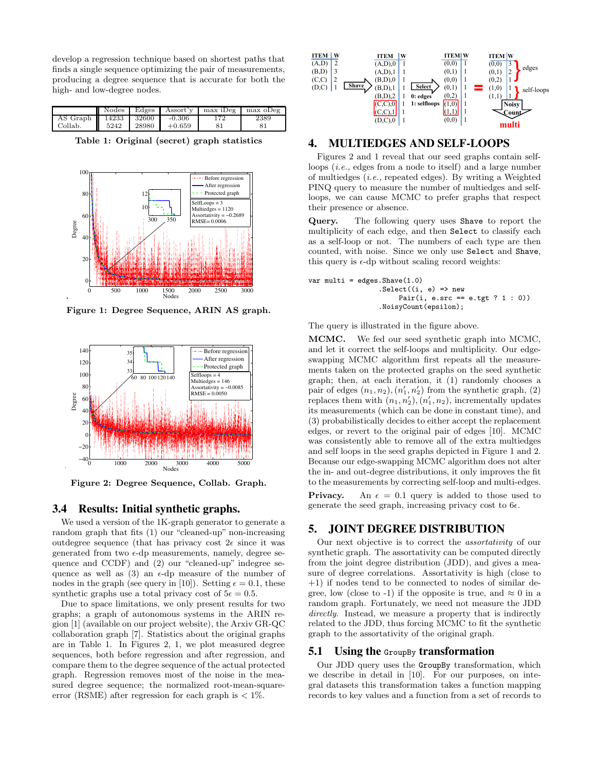develop a regression technique based on shortest paths that finds a single sequence optimizing the pair of measurements, producing a degree sequence that is accurate for both the high- and low-degree nodes.

|                             |   |                      | Nodes Edges Assort'y   max iDeg   max oDeg |      |
|-----------------------------|---|----------------------|--------------------------------------------|------|
| AS Graph 14233 32600 -0.306 |   |                      | 172                                        | 2389 |
| Collab.                     | Ш | $5242$ 28980 + 0.659 |                                            | 81   |

**Table 1: Original (secret) graph statistics**



**Figure 1: Degree Sequence, ARIN AS graph.**



**Figure 2: Degree Sequence, Collab. Graph.**

# **3.4 Results: Initial synthetic graphs.**

We used a version of the 1K-graph generator to generate a random graph that fits (1) our "cleaned-up" non-increasing outdegree sequence (that has privacy cost  $2\epsilon$  since it was generated from two  $\epsilon$ -dp measurements, namely, degree sequence and CCDF) and (2) our "cleaned-up" indegree sequence as well as  $(3)$  an  $\epsilon$ -dp measure of the number of nodes in the graph (see query in [10]). Setting  $\epsilon = 0.1$ , these synthetic graphs use a total privacy cost of  $5\epsilon = 0.5$ .

Due to space limitations, we only present results for two graphs; a graph of autonomous systems in the ARIN region [1] (available on our project website), the Arxiv GR-QC collaboration graph [7]. Statistics about the original graphs are in Table 1. In Figures 2, 1, we plot measured degree sequences, both before regression and after regression, and compare them to the degree sequence of the actual protected graph. Regression removes most of the noise in the measured degree sequence; the normalized root-mean-squareerror (RSME) after regression for each graph is  $\langle 1\% \rangle$ .



## **4. MULTIEDGES AND SELF-LOOPS**

Figures 2 and 1 reveal that our seed graphs contain selfloops (*i.e.,* edges from a node to itself) and a large number of multiedges (*i.e.,* repeated edges). By writing a Weighted PINQ query to measure the number of multiedges and selfloops, we can cause MCMC to prefer graphs that respect their presence or absence.

**Query.** The following query uses Shave to report the multiplicity of each edge, and then Select to classify each as a self-loop or not. The numbers of each type are then counted, with noise. Since we only use Select and Shave, this query is  $\epsilon$ -dp without scaling record weights:

```
var multi = edges.Shave(1.0)
                  .Select((i, e) \Rightarrow newPair(i, e.src == e.tgt ? 1 : 0).NoisyCount(epsilon);
```
The query is illustrated in the figure above.

**MCMC.** We fed our seed synthetic graph into MCMC, and let it correct the self-loops and multiplicity. Our edgeswapping MCMC algorithm first repeats all the measurements taken on the protected graphs on the seed synthetic graph; then, at each iteration, it (1) randomly chooses a pair of edges  $(n_1, n_2), (n'_1, n'_2)$  from the synthetic graph,  $(2)$ replaces them with  $(n_1, n_2), (n_1', n_2)$ , incrementally updates its measurements (which can be done in constant time), and (3) probabilistically decides to either accept the replacement edges, or revert to the original pair of edges [10]. MCMC was consistently able to remove all of the extra multiedges and self loops in the seed graphs depicted in Figure 1 and 2. Because our edge-swapping MCMC algorithm does not alter the in- and out-degree distributions, it only improves the fit to the measurements by correcting self-loop and multi-edges.

**Privacy.** An  $\epsilon = 0.1$  query is added to those used to generate the seed graph, increasing privacy cost to  $6\epsilon$ .

#### **5. JOINT DEGREE DISTRIBUTION**

Our next objective is to correct the *assortativity* of our synthetic graph. The assortativity can be computed directly from the joint degree distribution (JDD), and gives a measure of degree correlations. Assortativity is high (close to +1) if nodes tend to be connected to nodes of similar degree, low (close to -1) if the opposite is true, and  $\approx 0$  in a random graph. Fortunately, we need not measure the JDD *directly*. Instead, we measure a property that is indirectly related to the JDD, thus forcing MCMC to fit the synthetic graph to the assortativity of the original graph.

# **5.1 Using the** GroupBy **transformation**

Our JDD query uses the GroupBy transformation, which we describe in detail in [10]. For our purposes, on integral datasets this transformation takes a function mapping records to key values and a function from a set of records to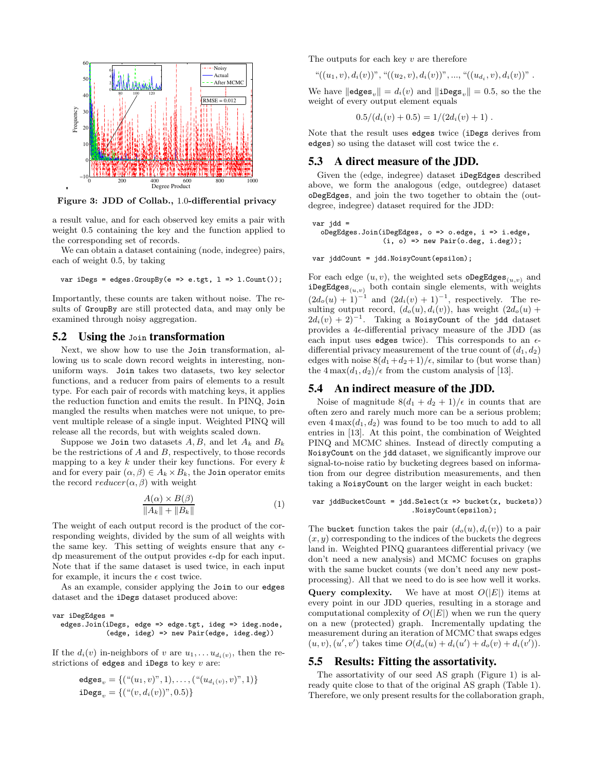

**Figure 3: JDD of Collab.,** 1.0**-differential privacy**

a result value, and for each observed key emits a pair with weight 0.5 containing the key and the function applied to the corresponding set of records.

We can obtain a dataset containing (node, indegree) pairs, each of weight 0.5, by taking

var iDegs = edges.GroupBy(e => e.tgt,  $l$  =>  $l.Count()$ ;

Importantly, these counts are taken without noise. The results of GroupBy are still protected data, and may only be examined through noisy aggregation.

# **5.2 Using the** Join **transformation**

Next, we show how to use the Join transformation, allowing us to scale down record weights in interesting, nonuniform ways. Join takes two datasets, two key selector functions, and a reducer from pairs of elements to a result type. For each pair of records with matching keys, it applies the reduction function and emits the result. In PINQ, Join mangled the results when matches were not unique, to prevent multiple release of a single input. Weighted PINQ will release all the records, but with weights scaled down.

Suppose we Join two datasets  $A, B$ , and let  $A_k$  and  $B_k$ be the restrictions of  $A$  and  $B$ , respectively, to those records mapping to a key  $k$  under their key functions. For every  $k$ and for every pair  $(\alpha, \beta) \in A_k \times B_k$ , the Join operator emits the record  $reducer(\alpha, \beta)$  with weight

$$
\frac{A(\alpha) \times B(\beta)}{\|A_k\| + \|B_k\|} \tag{1}
$$

The weight of each output record is the product of the corresponding weights, divided by the sum of all weights with the same key. This setting of weights ensure that any  $\epsilon$ dp measurement of the output provides  $\epsilon$ -dp for each input. Note that if the same dataset is used twice, in each input for example, it incurs the  $\epsilon$  cost twice.

As an example, consider applying the Join to our edges dataset and the iDegs dataset produced above:

```
var iDegEdges =
```

```
edges.Join(iDegs, edge => edge.tgt, ideg => ideg.node,
           (edge, ideg) => new Pair(edge, ideg.deg))
```
If the  $d_i(v)$  in-neighbors of v are  $u_1, \ldots, u_{d_i(v)}$ , then the restrictions of edges and iDegs to key  $v$  are:

edges<sub>v</sub> = {(
$$
^u(u_1, v)^v
$$
, 1),..., ( $^u(u_{d_i(v)}, v)^v$ , 1)}  
iDegs<sub>v</sub> = {( $^u(v, d_i(v))^v$ , 0.5)}

The outputs for each key  $v$  are therefore

$$
``((u_1,v),d_i(v))",\text{``}((u_2,v),d_i(v))",...,\text{``}((u_{d_i},v),d_i(v))".
$$

We have  $\|\text{edges}_{v}\| = d_i(v)$  and  $\|\text{iDes}_{v}\| = 0.5$ , so the the weight of every output element equals

$$
0.5/(d_i(v) + 0.5) = 1/(2d_i(v) + 1).
$$

Note that the result uses edges twice (iDegs derives from edges) so using the dataset will cost twice the  $\epsilon$ .

## **5.3 A direct measure of the JDD.**

Given the (edge, indegree) dataset iDegEdges described above, we form the analogous (edge, outdegree) dataset oDegEdges, and join the two together to obtain the (outdegree, indegree) dataset required for the JDD:

```
var jdd =
```

```
oDegEdges.Join(iDegEdges, o => o.edge, i => i.edge,
                 (i, o) \Rightarrow new Pair(o.deg, i.deg));
```
var jddCount = jdd.NoisyCount(epsilon);

For each edge  $(u, v)$ , the weighted sets oDegEdges<sub> $(u, v)$ </sub> and  $iDegEdges_{(u,v)}$  both contain single elements, with weights  $(2d_o(u) + 1)^{-1}$  and  $(2d_i(v) + 1)^{-1}$ , respectively. The resulting output record,  $(d_o(u), d_i(v))$ , has weight  $(2d_o(u) +$  $2d_i(v) + 2^{-1}$ . Taking a NoisyCount of the jdd dataset provides a 4e-differential privacy measure of the JDD (as each input uses edges twice). This corresponds to an  $\epsilon$ differential privacy measurement of the true count of  $(d_1, d_2)$ edges with noise  $8(d_1+d_2+1)/\epsilon$ , similar to (but worse than) the  $4 \max(d_1, d_2)/\epsilon$  from the custom analysis of [13].

#### **5.4 An indirect measure of the JDD.**

Noise of magnitude  $8(d_1 + d_2 + 1)/\epsilon$  in counts that are often zero and rarely much more can be a serious problem; even  $4 \max(d_1, d_2)$  was found to be too much to add to all entries in [13]. At this point, the combination of Weighted PINQ and MCMC shines. Instead of directly computing a NoisyCount on the jdd dataset, we significantly improve our signal-to-noise ratio by bucketing degrees based on information from our degree distribution measurements, and then taking a NoisyCount on the larger weight in each bucket:

```
var jddBucketCount = jdd.Select(x => bucket(x, buckets))
                        .NoisyCount(epsilon);
```
The bucket function takes the pair  $(d_o(u), d_i(v))$  to a pair  $(x, y)$  corresponding to the indices of the buckets the degrees land in. Weighted PINQ guarantees differential privacy (we don't need a new analysis) and MCMC focuses on graphs with the same bucket counts (we don't need any new postprocessing). All that we need to do is see how well it works.

**Query complexity.** We have at most  $O(|E|)$  items at every point in our JDD queries, resulting in a storage and computational complexity of  $O(|E|)$  when we run the query on a new (protected) graph. Incrementally updating the measurement during an iteration of MCMC that swaps edges  $(u, v), (u', v')$  takes time  $O(d_o(u) + d_i(u') + d_o(v) + d_i(v')).$ 

#### **5.5 Results: Fitting the assortativity.**

The assortativity of our seed AS graph (Figure 1) is already quite close to that of the original AS graph (Table 1). Therefore, we only present results for the collaboration graph,